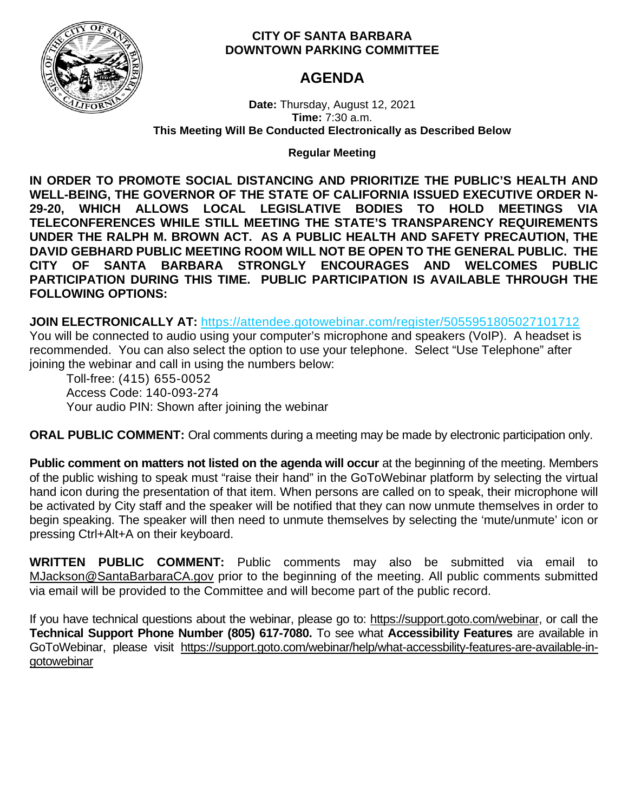

# **CITY OF SANTA BARBARA DOWNTOWN PARKING COMMITTEE**

# **AGENDA**

**Date:** Thursday, August 12, 2021 **Time:** 7:30 a.m. **This Meeting Will Be Conducted Electronically as Described Below**

# **Regular Meeting**

**IN ORDER TO PROMOTE SOCIAL DISTANCING AND PRIORITIZE THE PUBLIC'S HEALTH AND WELL-BEING, THE GOVERNOR OF THE STATE OF CALIFORNIA ISSUED EXECUTIVE ORDER N-29-20, WHICH ALLOWS LOCAL LEGISLATIVE BODIES TO HOLD MEETINGS VIA TELECONFERENCES WHILE STILL MEETING THE STATE'S TRANSPARENCY REQUIREMENTS UNDER THE RALPH M. BROWN ACT. AS A PUBLIC HEALTH AND SAFETY PRECAUTION, THE DAVID GEBHARD PUBLIC MEETING ROOM WILL NOT BE OPEN TO THE GENERAL PUBLIC. THE CITY OF SANTA BARBARA STRONGLY ENCOURAGES AND WELCOMES PUBLIC PARTICIPATION DURING THIS TIME. PUBLIC PARTICIPATION IS AVAILABLE THROUGH THE FOLLOWING OPTIONS:**

**JOIN ELECTRONICALLY AT:** <https://attendee.gotowebinar.com/register/5055951805027101712>

You will be connected to audio using your computer's microphone and speakers (VoIP). A headset is recommended. You can also select the option to use your telephone. Select "Use Telephone" after joining the webinar and call in using the numbers below:

Toll-free: (415) 655-0052 Access Code: 140-093-274 Your audio PIN: Shown after joining the webinar

**ORAL PUBLIC COMMENT:** Oral comments during a meeting may be made by electronic participation only.

**Public comment on matters not listed on the agenda will occur** at the beginning of the meeting. Members of the public wishing to speak must "raise their hand" in the GoToWebinar platform by selecting the virtual hand icon during the presentation of that item. When persons are called on to speak, their microphone will be activated by City staff and the speaker will be notified that they can now unmute themselves in order to begin speaking. The speaker will then need to unmute themselves by selecting the 'mute/unmute' icon or pressing Ctrl+Alt+A on their keyboard.

**WRITTEN PUBLIC COMMENT:** Public comments may also be submitted via email to [MJackson@SantaBarbaraCA.gov](mailto:MJackson@SantaBarbaraCA.gov) prior to the beginning of the meeting. All public comments submitted via email will be provided to the Committee and will become part of the public record.

If you have technical questions about the webinar, please go to: [https://support.goto.com/webinar,](https://support.goto.com/webinar) or call the **Technical Support Phone Number (805) 617-7080.** To see what **Accessibility Features** are available in GoToWebinar, please visit [https://support.goto.com/webinar/help/what-accessbility-features-are-available-in](https://support.goto.com/webinar/help/what-accessbility-features-are-available-in-gotowebinar)[gotowebinar](https://support.goto.com/webinar/help/what-accessbility-features-are-available-in-gotowebinar)